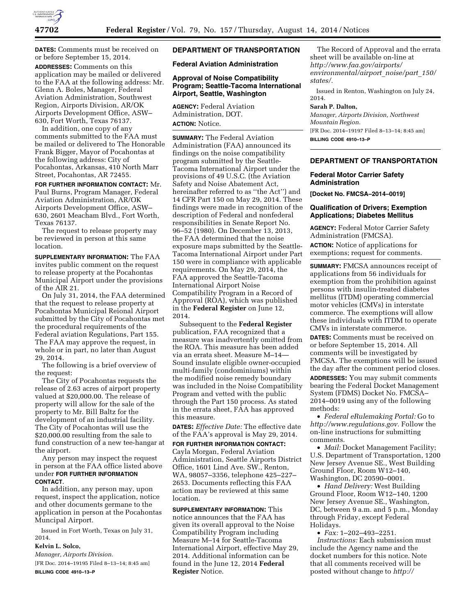

**DATES:** Comments must be received on or before September 15, 2014. **ADDRESSES:** Comments on this application may be mailed or delivered to the FAA at the following address: Mr. Glenn A. Boles, Manager, Federal Aviation Administration, Southwest Region, Airports Division, AR/OK Airports Development Office, ASW– 630, Fort Worth, Texas 76137.

In addition, one copy of any comments submitted to the FAA must be mailed or delivered to The Honorable Frank Bigger, Mayor of Pocahontas at the following address: City of Pocahontas, Arkansas, 410 North Marr Street, Pocahontas, AR 72455.

**FOR FURTHER INFORMATION CONTACT:** Mr. Paul Burns, Program Manager, Federal Aviation Administration, AR/OK Airports Development Office, ASW– 630, 2601 Meacham Blvd., Fort Worth, Texas 76137.

The request to release property may be reviewed in person at this same location.

**SUPPLEMENTARY INFORMATION:** The FAA invites public comment on the request to release property at the Pocahontas Municipal Airport under the provisions of the AIR 21.

On July 31, 2014, the FAA determined that the request to release property at Pocahontas Municipal Reional Airport submitted by the City of Pocahontas met the procedural requirements of the Federal aviation Regulations, Part 155. The FAA may approve the request, in whole or in part, no later than August 29, 2014.

The following is a brief overview of the request:

The City of Pocahontas requests the release of 2.63 acres of airport property valued at \$20,000.00. The release of property will allow for the sale of the property to Mr. Bill Baltz for the development of an industrial facility. The City of Pocahontas will use the \$20,000.00 resulting from the sale to fund construction of a new tee-hangar at the airport.

Any person may inspect the request in person at the FAA office listed above under **FOR FURTHER INFORMATION CONTACT**.

In addition, any person may, upon request, inspect the application, notice and other documents germane to the application in person at the Pocahontas Muncipal Airport.

Issued in Fort Worth, Texas on July 31, 2014.

# **Kelvin L. Solco,**

*Manager, Airports Division.* 

[FR Doc. 2014–19195 Filed 8–13–14; 8:45 am] **BILLING CODE 4910–13–P** 

# **DEPARTMENT OF TRANSPORTATION**

**Federal Aviation Administration** 

## **Approval of Noise Compatibility Program; Seattle-Tacoma International Airport, Seattle, Washington**

**AGENCY:** Federal Aviation Administration, DOT.

# **ACTION:** Notice.

**SUMMARY:** The Federal Aviation Administration (FAA) announced its findings on the noise compatibility program submitted by the Seattle-Tacoma International Airport under the provisions of 49 U.S.C. (the Aviation Safety and Noise Abatement Act, hereinafter referred to as ''the Act'') and 14 CFR Part 150 on May 29, 2014. These findings were made in recognition of the description of Federal and nonfederal responsibilities in Senate Report No. 96–52 (1980). On December 13, 2013, the FAA determined that the noise exposure maps submitted by the Seattle-Tacoma International Airport under Part 150 were in compliance with applicable requirements. On May 29, 2014, the FAA approved the Seattle-Tacoma International Airport Noise Compatibility Program in a Record of Approval (ROA), which was published in the **Federal Register** on June 12, 2014.

Subsequent to the **Federal Register**  publication, FAA recognized that a measure was inadvertently omitted from the ROA. This measure has been added via an errata sheet. Measure M–14— Sound insulate eligible owner-occupied multi-family (condominiums) within the modified noise remedy boundary was included in the Noise Compatibility Program and vetted with the public through the Part 150 process. As stated in the errata sheet, FAA has approved this measure.

**DATES:** *Effective Date:* The effective date of the FAA's approval is May 29, 2014.

**FOR FURTHER INFORMATION CONTACT:**  Cayla Morgan, Federal Aviation Administration, Seattle Airports District Office, 1601 Lind Ave. SW., Renton, WA, 98057–3356, telephone 425–227– 2653. Documents reflecting this FAA action may be reviewed at this same location.

**SUPPLEMENTARY INFORMATION:** This notice announces that the FAA has given its overall approval to the Noise Compatibility Program including Measure M–14 for Seattle-Tacoma International Airport, effective May 29, 2014. Additional information can be found in the June 12, 2014 **Federal Register** Notice.

The Record of Approval and the errata sheet will be available on-line at *[http://www.faa.gov/airports/](http://www.faa.gov/airports/environmental/airport_noise/part_150/states/) [environmental/airport](http://www.faa.gov/airports/environmental/airport_noise/part_150/states/)*\_*noise/part*\_*150/ [states/.](http://www.faa.gov/airports/environmental/airport_noise/part_150/states/)* 

Issued in Renton, Washington on July 24, 2014.

# **Sarah P. Dalton,**

*Manager, Airports Division, Northwest Mountain Region.*  [FR Doc. 2014–19197 Filed 8–13–14; 8:45 am] **BILLING CODE 4910–13–P** 

# **DEPARTMENT OF TRANSPORTATION**

## **Federal Motor Carrier Safety Administration**

**[Docket No. FMCSA–2014–0019]** 

# **Qualification of Drivers; Exemption Applications; Diabetes Mellitus**

**AGENCY:** Federal Motor Carrier Safety Administration (FMCSA). **ACTION:** Notice of applications for exemptions; request for comments.

**SUMMARY:** FMCSA announces receipt of applications from 56 individuals for exemption from the prohibition against persons with insulin-treated diabetes mellitus (ITDM) operating commercial motor vehicles (CMVs) in interstate commerce. The exemptions will allow these individuals with ITDM to operate CMVs in interstate commerce.

**DATES:** Comments must be received on or before September 15, 2014. All comments will be investigated by FMCSA. The exemptions will be issued the day after the comment period closes.

**ADDRESSES:** You may submit comments bearing the Federal Docket Management System (FDMS) Docket No. FMCSA– 2014–0019 using any of the following methods:

• *Federal eRulemaking Portal:* Go to *[http://www.regulations.gov.](http://www.regulations.gov)* Follow the on-line instructions for submitting comments.

• *Mail:* Docket Management Facility; U.S. Department of Transportation, 1200 New Jersey Avenue SE., West Building Ground Floor, Room W12–140, Washington, DC 20590–0001.

• *Hand Delivery:* West Building Ground Floor, Room W12–140, 1200 New Jersey Avenue SE., Washington, DC, between 9 a.m. and 5 p.m., Monday through Friday, except Federal Holidays.

• *Fax:* 1–202–493–2251. *Instructions:* Each submission must include the Agency name and the docket numbers for this notice. Note that all comments received will be posted without change to *[http://](http://www.regulations.gov)*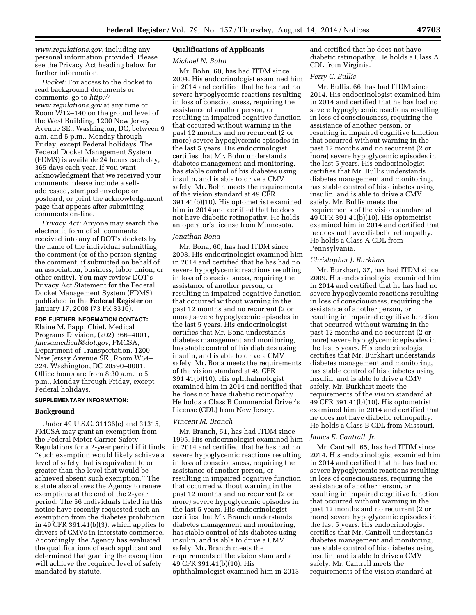*[www.regulations.gov,](http://www.regulations.gov)* including any personal information provided. Please see the Privacy Act heading below for further information.

*Docket:* For access to the docket to read background documents or comments, go to *[http://](http://www.regulations.gov) [www.regulations.gov](http://www.regulations.gov)* at any time or Room W12–140 on the ground level of the West Building, 1200 New Jersey Avenue SE., Washington, DC, between 9 a.m. and 5 p.m., Monday through Friday, except Federal holidays. The Federal Docket Management System (FDMS) is available 24 hours each day, 365 days each year. If you want acknowledgment that we received your comments, please include a selfaddressed, stamped envelope or postcard, or print the acknowledgement page that appears after submitting comments on-line.

*Privacy Act:* Anyone may search the electronic form of all comments received into any of DOT's dockets by the name of the individual submitting the comment (or of the person signing the comment, if submitted on behalf of an association, business, labor union, or other entity). You may review DOT's Privacy Act Statement for the Federal Docket Management System (FDMS) published in the **Federal Register** on January 17, 2008 (73 FR 3316).

# **FOR FURTHER INFORMATION CONTACT:**

Elaine M. Papp, Chief, Medical Programs Division, (202) 366–4001, *[fmcsamedical@dot.gov,](mailto:fmcsamedical@dot.gov)* FMCSA, Department of Transportation, 1200 New Jersey Avenue SE., Room W64– 224, Washington, DC 20590–0001. Office hours are from 8:30 a.m. to 5 p.m., Monday through Friday, except Federal holidays.

#### **SUPPLEMENTARY INFORMATION:**

#### **Background**

Under 49 U.S.C. 31136(e) and 31315, FMCSA may grant an exemption from the Federal Motor Carrier Safety Regulations for a 2-year period if it finds ''such exemption would likely achieve a level of safety that is equivalent to or greater than the level that would be achieved absent such exemption.'' The statute also allows the Agency to renew exemptions at the end of the 2-year period. The 56 individuals listed in this notice have recently requested such an exemption from the diabetes prohibition in 49 CFR 391.41(b)(3), which applies to drivers of CMVs in interstate commerce. Accordingly, the Agency has evaluated the qualifications of each applicant and determined that granting the exemption will achieve the required level of safety mandated by statute.

## **Qualifications of Applicants**

#### *Michael N. Bohn*

Mr. Bohn, 60, has had ITDM since 2004. His endocrinologist examined him in 2014 and certified that he has had no severe hypoglycemic reactions resulting in loss of consciousness, requiring the assistance of another person, or resulting in impaired cognitive function that occurred without warning in the past 12 months and no recurrent (2 or more) severe hypoglycemic episodes in the last 5 years. His endocrinologist certifies that Mr. Bohn understands diabetes management and monitoring, has stable control of his diabetes using insulin, and is able to drive a CMV safely. Mr. Bohn meets the requirements of the vision standard at 49 CFR 391.41(b)(10). His optometrist examined him in 2014 and certified that he does not have diabetic retinopathy. He holds an operator's license from Minnesota.

#### *Jonathan Bona*

Mr. Bona, 60, has had ITDM since 2008. His endocrinologist examined him in 2014 and certified that he has had no severe hypoglycemic reactions resulting in loss of consciousness, requiring the assistance of another person, or resulting in impaired cognitive function that occurred without warning in the past 12 months and no recurrent (2 or more) severe hypoglycemic episodes in the last 5 years. His endocrinologist certifies that Mr. Bona understands diabetes management and monitoring, has stable control of his diabetes using insulin, and is able to drive a CMV safely. Mr. Bona meets the requirements of the vision standard at 49 CFR 391.41(b)(10). His ophthalmologist examined him in 2014 and certified that he does not have diabetic retinopathy. He holds a Class B Commercial Driver's License (CDL) from New Jersey.

## *Vincent M. Branch*

Mr. Branch, 51, has had ITDM since 1995. His endocrinologist examined him in 2014 and certified that he has had no severe hypoglycemic reactions resulting in loss of consciousness, requiring the assistance of another person, or resulting in impaired cognitive function that occurred without warning in the past 12 months and no recurrent (2 or more) severe hypoglycemic episodes in the last 5 years. His endocrinologist certifies that Mr. Branch understands diabetes management and monitoring, has stable control of his diabetes using insulin, and is able to drive a CMV safely. Mr. Branch meets the requirements of the vision standard at 49 CFR 391.41(b)(10). His ophthalmologist examined him in 2013

and certified that he does not have diabetic retinopathy. He holds a Class A CDL from Virginia.

# *Perry C. Bullis*

Mr. Bullis, 66, has had ITDM since 2014. His endocrinologist examined him in 2014 and certified that he has had no severe hypoglycemic reactions resulting in loss of consciousness, requiring the assistance of another person, or resulting in impaired cognitive function that occurred without warning in the past 12 months and no recurrent (2 or more) severe hypoglycemic episodes in the last 5 years. His endocrinologist certifies that Mr. Bullis understands diabetes management and monitoring, has stable control of his diabetes using insulin, and is able to drive a CMV safely. Mr. Bullis meets the requirements of the vision standard at 49 CFR 391.41(b)(10). His optometrist examined him in 2014 and certified that he does not have diabetic retinopathy. He holds a Class A CDL from Pennsylvania.

#### *Christopher J. Burkhart*

Mr. Burkhart, 37, has had ITDM since 2009. His endocrinologist examined him in 2014 and certified that he has had no severe hypoglycemic reactions resulting in loss of consciousness, requiring the assistance of another person, or resulting in impaired cognitive function that occurred without warning in the past 12 months and no recurrent (2 or more) severe hypoglycemic episodes in the last 5 years. His endocrinologist certifies that Mr. Burkhart understands diabetes management and monitoring, has stable control of his diabetes using insulin, and is able to drive a CMV safely. Mr. Burkhart meets the requirements of the vision standard at 49 CFR 391.41(b)(10). His optometrist examined him in 2014 and certified that he does not have diabetic retinopathy. He holds a Class B CDL from Missouri.

#### *James E. Cantrell, Jr.*

Mr. Cantrell, 65, has had ITDM since 2014. His endocrinologist examined him in 2014 and certified that he has had no severe hypoglycemic reactions resulting in loss of consciousness, requiring the assistance of another person, or resulting in impaired cognitive function that occurred without warning in the past 12 months and no recurrent (2 or more) severe hypoglycemic episodes in the last 5 years. His endocrinologist certifies that Mr. Cantrell understands diabetes management and monitoring, has stable control of his diabetes using insulin, and is able to drive a CMV safely. Mr. Cantrell meets the requirements of the vision standard at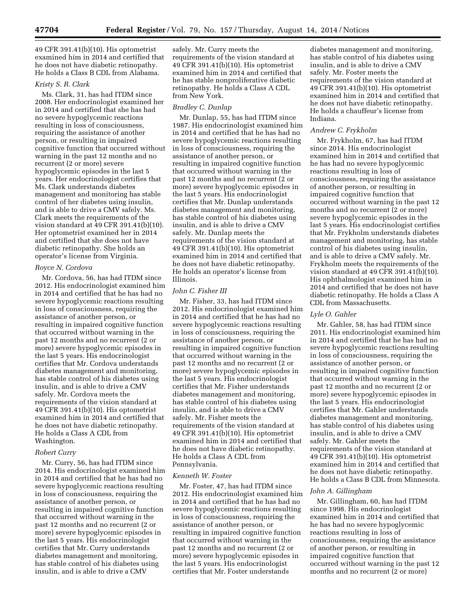49 CFR 391.41(b)(10). His optometrist examined him in 2014 and certified that he does not have diabetic retinopathy. He holds a Class B CDL from Alabama.

#### *Kristy S. R. Clark*

Ms. Clark, 31, has had ITDM since 2008. Her endocrinologist examined her in 2014 and certified that she has had no severe hypoglycemic reactions resulting in loss of consciousness, requiring the assistance of another person, or resulting in impaired cognitive function that occurred without warning in the past 12 months and no recurrent (2 or more) severe hypoglycemic episodes in the last 5 years. Her endocrinologist certifies that Ms. Clark understands diabetes management and monitoring has stable control of her diabetes using insulin, and is able to drive a CMV safely. Ms. Clark meets the requirements of the vision standard at 49 CFR 391.41(b)(10). Her optometrist examined her in 2014 and certified that she does not have diabetic retinopathy. She holds an operator's license from Virginia.

## *Royce N. Cordova*

Mr. Cordova, 56, has had ITDM since 2012. His endocrinologist examined him in 2014 and certified that he has had no severe hypoglycemic reactions resulting in loss of consciousness, requiring the assistance of another person, or resulting in impaired cognitive function that occurred without warning in the past 12 months and no recurrent (2 or more) severe hypoglycemic episodes in the last 5 years. His endocrinologist certifies that Mr. Cordova understands diabetes management and monitoring, has stable control of his diabetes using insulin, and is able to drive a CMV safely. Mr. Cordova meets the requirements of the vision standard at 49 CFR 391.41(b)(10). His optometrist examined him in 2014 and certified that he does not have diabetic retinopathy. He holds a Class A CDL from Washington.

#### *Robert Curry*

Mr. Curry, 56, has had ITDM since 2014. His endocrinologist examined him in 2014 and certified that he has had no severe hypoglycemic reactions resulting in loss of consciousness, requiring the assistance of another person, or resulting in impaired cognitive function that occurred without warning in the past 12 months and no recurrent (2 or more) severe hypoglycemic episodes in the last 5 years. His endocrinologist certifies that Mr. Curry understands diabetes management and monitoring, has stable control of his diabetes using insulin, and is able to drive a CMV

safely. Mr. Curry meets the requirements of the vision standard at 49 CFR 391.41(b)(10). His optometrist examined him in 2014 and certified that he has stable nonproliferative diabetic retinopathy. He holds a Class A CDL from New York.

#### *Bradley C. Dunlap*

Mr. Dunlap, 55, has had ITDM since 1987. His endocrinologist examined him in 2014 and certified that he has had no severe hypoglycemic reactions resulting in loss of consciousness, requiring the assistance of another person, or resulting in impaired cognitive function that occurred without warning in the past 12 months and no recurrent (2 or more) severe hypoglycemic episodes in the last 5 years. His endocrinologist certifies that Mr. Dunlap understands diabetes management and monitoring, has stable control of his diabetes using insulin, and is able to drive a CMV safely. Mr. Dunlap meets the requirements of the vision standard at 49 CFR 391.41(b)(10). His optometrist examined him in 2014 and certified that he does not have diabetic retinopathy. He holds an operator's license from Illinois.

#### *John C. Fisher III*

Mr. Fisher, 33, has had ITDM since 2012. His endocrinologist examined him in 2014 and certified that he has had no severe hypoglycemic reactions resulting in loss of consciousness, requiring the assistance of another person, or resulting in impaired cognitive function that occurred without warning in the past 12 months and no recurrent (2 or more) severe hypoglycemic episodes in the last 5 years. His endocrinologist certifies that Mr. Fisher understands diabetes management and monitoring, has stable control of his diabetes using insulin, and is able to drive a CMV safely. Mr. Fisher meets the requirements of the vision standard at 49 CFR 391.41(b)(10). His optometrist examined him in 2014 and certified that he does not have diabetic retinopathy. He holds a Class A CDL from Pennsylvania.

#### *Kenneth W. Foster*

Mr. Foster, 47, has had ITDM since 2012. His endocrinologist examined him in 2014 and certified that he has had no severe hypoglycemic reactions resulting in loss of consciousness, requiring the assistance of another person, or resulting in impaired cognitive function that occurred without warning in the past 12 months and no recurrent (2 or more) severe hypoglycemic episodes in the last 5 years. His endocrinologist certifies that Mr. Foster understands

diabetes management and monitoring, has stable control of his diabetes using insulin, and is able to drive a CMV safely. Mr. Foster meets the requirements of the vision standard at 49 CFR 391.41(b)(10). His optometrist examined him in 2014 and certified that he does not have diabetic retinopathy. He holds a chauffeur's license from Indiana.

#### *Andrew C. Frykholm*

Mr. Frykholm, 67, has had ITDM since 2014. His endocrinologist examined him in 2014 and certified that he has had no severe hypoglycemic reactions resulting in loss of consciousness, requiring the assistance of another person, or resulting in impaired cognitive function that occurred without warning in the past 12 months and no recurrent (2 or more) severe hypoglycemic episodes in the last 5 years. His endocrinologist certifies that Mr. Frykholm understands diabetes management and monitoring, has stable control of his diabetes using insulin, and is able to drive a CMV safely. Mr. Frykholm meets the requirements of the vision standard at 49 CFR 391.41(b)(10). His ophthalmologist examined him in 2014 and certified that he does not have diabetic retinopathy. He holds a Class A CDL from Massachusetts.

## *Lyle O. Gahler*

Mr. Gahler, 58, has had ITDM since 2011. His endocrinologist examined him in 2014 and certified that he has had no severe hypoglycemic reactions resulting in loss of consciousness, requiring the assistance of another person, or resulting in impaired cognitive function that occurred without warning in the past 12 months and no recurrent (2 or more) severe hypoglycemic episodes in the last 5 years. His endocrinologist certifies that Mr. Gahler understands diabetes management and monitoring, has stable control of his diabetes using insulin, and is able to drive a CMV safely. Mr. Gahler meets the requirements of the vision standard at 49 CFR 391.41(b)(10). His optometrist examined him in 2014 and certified that he does not have diabetic retinopathy. He holds a Class B CDL from Minnesota.

#### *John A. Gillingham*

Mr. Gillingham, 60, has had ITDM since 1998. His endocrinologist examined him in 2014 and certified that he has had no severe hypoglycemic reactions resulting in loss of consciousness, requiring the assistance of another person, or resulting in impaired cognitive function that occurred without warning in the past 12 months and no recurrent (2 or more)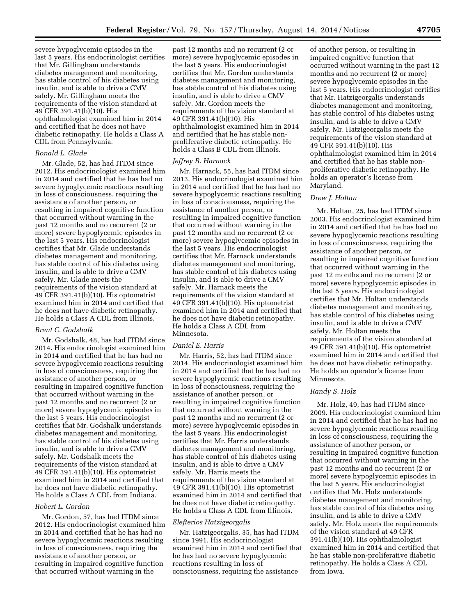severe hypoglycemic episodes in the last 5 years. His endocrinologist certifies that Mr. Gillingham understands diabetes management and monitoring, has stable control of his diabetes using insulin, and is able to drive a CMV safely. Mr. Gillingham meets the requirements of the vision standard at 49 CFR 391.41(b)(10). His ophthalmologist examined him in 2014 and certified that he does not have diabetic retinopathy. He holds a Class A CDL from Pennsylvania.

#### *Ronald L. Glade*

Mr. Glade, 52, has had ITDM since 2012. His endocrinologist examined him in 2014 and certified that he has had no severe hypoglycemic reactions resulting in loss of consciousness, requiring the assistance of another person, or resulting in impaired cognitive function that occurred without warning in the past 12 months and no recurrent (2 or more) severe hypoglycemic episodes in the last 5 years. His endocrinologist certifies that Mr. Glade understands diabetes management and monitoring, has stable control of his diabetes using insulin, and is able to drive a CMV safely. Mr. Glade meets the requirements of the vision standard at 49 CFR 391.41(b)(10). His optometrist examined him in 2014 and certified that he does not have diabetic retinopathy. He holds a Class A CDL from Illinois.

#### *Brent C. Godshalk*

Mr. Godshalk, 48, has had ITDM since 2014. His endocrinologist examined him in 2014 and certified that he has had no severe hypoglycemic reactions resulting in loss of consciousness, requiring the assistance of another person, or resulting in impaired cognitive function that occurred without warning in the past 12 months and no recurrent (2 or more) severe hypoglycemic episodes in the last 5 years. His endocrinologist certifies that Mr. Godshalk understands diabetes management and monitoring, has stable control of his diabetes using insulin, and is able to drive a CMV safely. Mr. Godshalk meets the requirements of the vision standard at 49 CFR 391.41(b)(10). His optometrist examined him in 2014 and certified that he does not have diabetic retinopathy. He holds a Class A CDL from Indiana.

## *Robert L. Gordon*

Mr. Gordon, 57, has had ITDM since 2012. His endocrinologist examined him in 2014 and certified that he has had no severe hypoglycemic reactions resulting in loss of consciousness, requiring the assistance of another person, or resulting in impaired cognitive function that occurred without warning in the

past 12 months and no recurrent (2 or more) severe hypoglycemic episodes in the last 5 years. His endocrinologist certifies that Mr. Gordon understands diabetes management and monitoring, has stable control of his diabetes using insulin, and is able to drive a CMV safely. Mr. Gordon meets the requirements of the vision standard at 49 CFR 391.41(b)(10). His ophthalmologist examined him in 2014 and certified that he has stable nonproliferative diabetic retinopathy. He holds a Class B CDL from Illinois.

## *Jeffrey R. Harnack*

Mr. Harnack, 55, has had ITDM since 2013. His endocrinologist examined him in 2014 and certified that he has had no severe hypoglycemic reactions resulting in loss of consciousness, requiring the assistance of another person, or resulting in impaired cognitive function that occurred without warning in the past 12 months and no recurrent (2 or more) severe hypoglycemic episodes in the last 5 years. His endocrinologist certifies that Mr. Harnack understands diabetes management and monitoring, has stable control of his diabetes using insulin, and is able to drive a CMV safely. Mr. Harnack meets the requirements of the vision standard at 49 CFR 391.41(b)(10). His optometrist examined him in 2014 and certified that he does not have diabetic retinopathy. He holds a Class A CDL from Minnesota.

# *Daniel E. Harris*

Mr. Harris, 52, has had ITDM since 2014. His endocrinologist examined him in 2014 and certified that he has had no severe hypoglycemic reactions resulting in loss of consciousness, requiring the assistance of another person, or resulting in impaired cognitive function that occurred without warning in the past 12 months and no recurrent (2 or more) severe hypoglycemic episodes in the last 5 years. His endocrinologist certifies that Mr. Harris understands diabetes management and monitoring, has stable control of his diabetes using insulin, and is able to drive a CMV safely. Mr. Harris meets the requirements of the vision standard at 49 CFR 391.41(b)(10). His optometrist examined him in 2014 and certified that he does not have diabetic retinopathy. He holds a Class A CDL from Illinois.

#### *Elefterios Hatzigeorgalis*

Mr. Hatzigeorgalis, 35, has had ITDM since 1991. His endocrinologist examined him in 2014 and certified that he has had no severe hypoglycemic reactions resulting in loss of consciousness, requiring the assistance

of another person, or resulting in impaired cognitive function that occurred without warning in the past 12 months and no recurrent (2 or more) severe hypoglycemic episodes in the last 5 years. His endocrinologist certifies that Mr. Hatzigeorgalis understands diabetes management and monitoring, has stable control of his diabetes using insulin, and is able to drive a CMV safely. Mr. Hatzigeorgalis meets the requirements of the vision standard at 49 CFR 391.41(b)(10). His ophthalmologist examined him in 2014 and certified that he has stable nonproliferative diabetic retinopathy. He holds an operator's license from Maryland.

#### *Drew J. Holtan*

Mr. Holtan, 25, has had ITDM since 2003. His endocrinologist examined him in 2014 and certified that he has had no severe hypoglycemic reactions resulting in loss of consciousness, requiring the assistance of another person, or resulting in impaired cognitive function that occurred without warning in the past 12 months and no recurrent (2 or more) severe hypoglycemic episodes in the last 5 years. His endocrinologist certifies that Mr. Holtan understands diabetes management and monitoring, has stable control of his diabetes using insulin, and is able to drive a CMV safely. Mr. Holtan meets the requirements of the vision standard at 49 CFR 391.41(b)(10). His optometrist examined him in 2014 and certified that he does not have diabetic retinopathy. He holds an operator's license from Minnesota.

#### *Randy S. Holz*

Mr. Holz, 49, has had ITDM since 2009. His endocrinologist examined him in 2014 and certified that he has had no severe hypoglycemic reactions resulting in loss of consciousness, requiring the assistance of another person, or resulting in impaired cognitive function that occurred without warning in the past 12 months and no recurrent (2 or more) severe hypoglycemic episodes in the last 5 years. His endocrinologist certifies that Mr. Holz understands diabetes management and monitoring, has stable control of his diabetes using insulin, and is able to drive a CMV safely. Mr. Holz meets the requirements of the vision standard at 49 CFR 391.41(b)(10). His ophthalmologist examined him in 2014 and certified that he has stable non-proliferative diabetic retinopathy. He holds a Class A CDL from Iowa.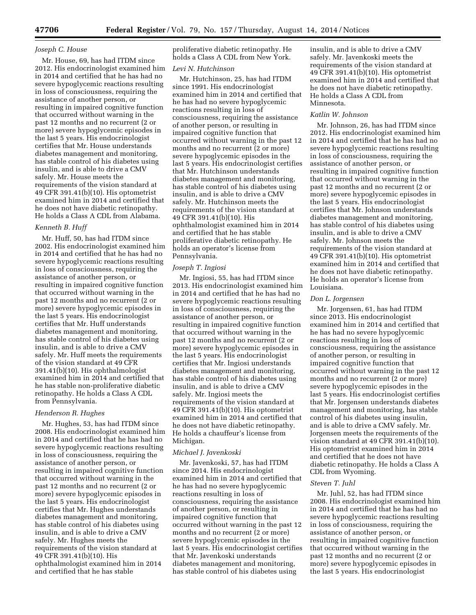#### *Joseph C. House*

Mr. House, 69, has had ITDM since 2012. His endocrinologist examined him in 2014 and certified that he has had no severe hypoglycemic reactions resulting in loss of consciousness, requiring the assistance of another person, or resulting in impaired cognitive function that occurred without warning in the past 12 months and no recurrent (2 or more) severe hypoglycemic episodes in the last 5 years. His endocrinologist certifies that Mr. House understands diabetes management and monitoring, has stable control of his diabetes using insulin, and is able to drive a CMV safely. Mr. House meets the requirements of the vision standard at 49 CFR 391.41(b)(10). His optometrist examined him in 2014 and certified that he does not have diabetic retinopathy. He holds a Class A CDL from Alabama.

#### *Kenneth B. Huff*

Mr. Huff, 50, has had ITDM since 2002. His endocrinologist examined him in 2014 and certified that he has had no severe hypoglycemic reactions resulting in loss of consciousness, requiring the assistance of another person, or resulting in impaired cognitive function that occurred without warning in the past 12 months and no recurrent (2 or more) severe hypoglycemic episodes in the last 5 years. His endocrinologist certifies that Mr. Huff understands diabetes management and monitoring, has stable control of his diabetes using insulin, and is able to drive a CMV safely. Mr. Huff meets the requirements of the vision standard at 49 CFR 391.41(b)(10). His ophthalmologist examined him in 2014 and certified that he has stable non-proliferative diabetic retinopathy. He holds a Class A CDL from Pennsylvania.

#### *Henderson R. Hughes*

Mr. Hughes, 53, has had ITDM since 2008. His endocrinologist examined him in 2014 and certified that he has had no severe hypoglycemic reactions resulting in loss of consciousness, requiring the assistance of another person, or resulting in impaired cognitive function that occurred without warning in the past 12 months and no recurrent (2 or more) severe hypoglycemic episodes in the last 5 years. His endocrinologist certifies that Mr. Hughes understands diabetes management and monitoring, has stable control of his diabetes using insulin, and is able to drive a CMV safely. Mr. Hughes meets the requirements of the vision standard at 49 CFR 391.41(b)(10). His ophthalmologist examined him in 2014 and certified that he has stable

proliferative diabetic retinopathy. He holds a Class A CDL from New York.

## *Levi N. Hutchinson*

Mr. Hutchinson, 25, has had ITDM since 1991. His endocrinologist examined him in 2014 and certified that he has had no severe hypoglycemic reactions resulting in loss of consciousness, requiring the assistance of another person, or resulting in impaired cognitive function that occurred without warning in the past 12 months and no recurrent (2 or more) severe hypoglycemic episodes in the last 5 years. His endocrinologist certifies that Mr. Hutchinson understands diabetes management and monitoring, has stable control of his diabetes using insulin, and is able to drive a CMV safely. Mr. Hutchinson meets the requirements of the vision standard at 49 CFR 391.41(b)(10). His ophthalmologist examined him in 2014 and certified that he has stable proliferative diabetic retinopathy. He holds an operator's license from Pennsylvania.

## *Joseph T. Ingiosi*

Mr. Ingiosi, 55, has had ITDM since 2013. His endocrinologist examined him in 2014 and certified that he has had no severe hypoglycemic reactions resulting in loss of consciousness, requiring the assistance of another person, or resulting in impaired cognitive function that occurred without warning in the past 12 months and no recurrent (2 or more) severe hypoglycemic episodes in the last 5 years. His endocrinologist certifies that Mr. Ingiosi understands diabetes management and monitoring, has stable control of his diabetes using insulin, and is able to drive a CMV safely. Mr. Ingiosi meets the requirements of the vision standard at 49 CFR 391.41(b)(10). His optometrist examined him in 2014 and certified that he does not have diabetic retinopathy. He holds a chauffeur's license from Michigan.

#### *Michael J. Javenkoski*

Mr. Javenkoski, 57, has had ITDM since 2014. His endocrinologist examined him in 2014 and certified that he has had no severe hypoglycemic reactions resulting in loss of consciousness, requiring the assistance of another person, or resulting in impaired cognitive function that occurred without warning in the past 12 months and no recurrent (2 or more) severe hypoglycemic episodes in the last 5 years. His endocrinologist certifies that Mr. Javenkoski understands diabetes management and monitoring, has stable control of his diabetes using

insulin, and is able to drive a CMV safely. Mr. Javenkoski meets the requirements of the vision standard at 49 CFR 391.41(b)(10). His optometrist examined him in 2014 and certified that he does not have diabetic retinopathy. He holds a Class A CDL from Minnesota.

# *Katlin W. Johnson*

Mr. Johnson, 26, has had ITDM since 2012. His endocrinologist examined him in 2014 and certified that he has had no severe hypoglycemic reactions resulting in loss of consciousness, requiring the assistance of another person, or resulting in impaired cognitive function that occurred without warning in the past 12 months and no recurrent (2 or more) severe hypoglycemic episodes in the last 5 years. His endocrinologist certifies that Mr. Johnson understands diabetes management and monitoring, has stable control of his diabetes using insulin, and is able to drive a CMV safely. Mr. Johnson meets the requirements of the vision standard at 49 CFR 391.41(b)(10). His optometrist examined him in 2014 and certified that he does not have diabetic retinopathy. He holds an operator's license from Louisiana.

#### *Don L. Jorgensen*

Mr. Jorgensen, 61, has had ITDM since 2013. His endocrinologist examined him in 2014 and certified that he has had no severe hypoglycemic reactions resulting in loss of consciousness, requiring the assistance of another person, or resulting in impaired cognitive function that occurred without warning in the past 12 months and no recurrent (2 or more) severe hypoglycemic episodes in the last 5 years. His endocrinologist certifies that Mr. Jorgensen understands diabetes management and monitoring, has stable control of his diabetes using insulin, and is able to drive a CMV safely. Mr. Jorgensen meets the requirements of the vision standard at 49 CFR 391.41(b)(10). His optometrist examined him in 2014 and certified that he does not have diabetic retinopathy. He holds a Class A CDL from Wyoming.

## *Steven T. Juhl*

Mr. Juhl, 52, has had ITDM since 2008. His endocrinologist examined him in 2014 and certified that he has had no severe hypoglycemic reactions resulting in loss of consciousness, requiring the assistance of another person, or resulting in impaired cognitive function that occurred without warning in the past 12 months and no recurrent (2 or more) severe hypoglycemic episodes in the last 5 years. His endocrinologist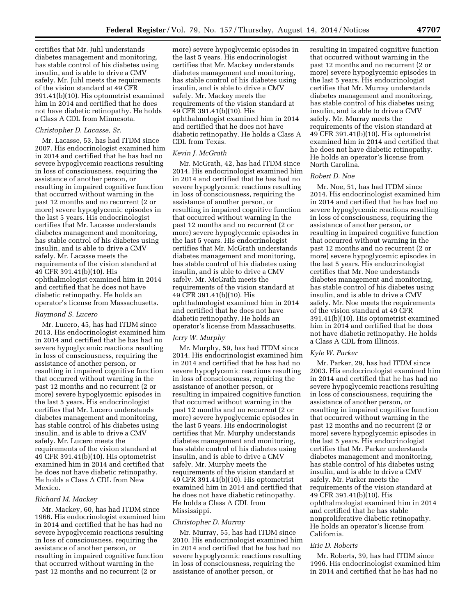certifies that Mr. Juhl understands diabetes management and monitoring, has stable control of his diabetes using insulin, and is able to drive a CMV safely. Mr. Juhl meets the requirements of the vision standard at 49 CFR 391.41(b)(10). His optometrist examined him in 2014 and certified that he does not have diabetic retinopathy. He holds a Class A CDL from Minnesota.

#### *Christopher D. Lacasse, Sr.*

Mr. Lacasse, 53, has had ITDM since 2007. His endocrinologist examined him in 2014 and certified that he has had no severe hypoglycemic reactions resulting in loss of consciousness, requiring the assistance of another person, or resulting in impaired cognitive function that occurred without warning in the past 12 months and no recurrent (2 or more) severe hypoglycemic episodes in the last 5 years. His endocrinologist certifies that Mr. Lacasse understands diabetes management and monitoring, has stable control of his diabetes using insulin, and is able to drive a CMV safely. Mr. Lacasse meets the requirements of the vision standard at 49 CFR 391.41(b)(10). His ophthalmologist examined him in 2014 and certified that he does not have diabetic retinopathy. He holds an operator's license from Massachusetts.

## *Raymond S. Lucero*

Mr. Lucero, 45, has had ITDM since 2013. His endocrinologist examined him in 2014 and certified that he has had no severe hypoglycemic reactions resulting in loss of consciousness, requiring the assistance of another person, or resulting in impaired cognitive function that occurred without warning in the past 12 months and no recurrent (2 or more) severe hypoglycemic episodes in the last 5 years. His endocrinologist certifies that Mr. Lucero understands diabetes management and monitoring, has stable control of his diabetes using insulin, and is able to drive a CMV safely. Mr. Lucero meets the requirements of the vision standard at 49 CFR 391.41(b)(10). His optometrist examined him in 2014 and certified that he does not have diabetic retinopathy. He holds a Class A CDL from New Mexico.

## *Richard M. Mackey*

Mr. Mackey, 60, has had ITDM since 1966. His endocrinologist examined him in 2014 and certified that he has had no severe hypoglycemic reactions resulting in loss of consciousness, requiring the assistance of another person, or resulting in impaired cognitive function that occurred without warning in the past 12 months and no recurrent (2 or

more) severe hypoglycemic episodes in the last 5 years. His endocrinologist certifies that Mr. Mackey understands diabetes management and monitoring, has stable control of his diabetes using insulin, and is able to drive a CMV safely. Mr. Mackey meets the requirements of the vision standard at 49 CFR 391.41(b)(10). His ophthalmologist examined him in 2014 and certified that he does not have diabetic retinopathy. He holds a Class A CDL from Texas.

#### *Kevin J. McGrath*

Mr. McGrath, 42, has had ITDM since 2014. His endocrinologist examined him in 2014 and certified that he has had no severe hypoglycemic reactions resulting in loss of consciousness, requiring the assistance of another person, or resulting in impaired cognitive function that occurred without warning in the past 12 months and no recurrent (2 or more) severe hypoglycemic episodes in the last 5 years. His endocrinologist certifies that Mr. McGrath understands diabetes management and monitoring, has stable control of his diabetes using insulin, and is able to drive a CMV safely. Mr. McGrath meets the requirements of the vision standard at 49 CFR 391.41(b)(10). His ophthalmologist examined him in 2014 and certified that he does not have diabetic retinopathy. He holds an operator's license from Massachusetts.

#### *Jerry W. Murphy*

Mr. Murphy, 59, has had ITDM since 2014. His endocrinologist examined him in 2014 and certified that he has had no severe hypoglycemic reactions resulting in loss of consciousness, requiring the assistance of another person, or resulting in impaired cognitive function that occurred without warning in the past 12 months and no recurrent (2 or more) severe hypoglycemic episodes in the last 5 years. His endocrinologist certifies that Mr. Murphy understands diabetes management and monitoring, has stable control of his diabetes using insulin, and is able to drive a CMV safely. Mr. Murphy meets the requirements of the vision standard at 49 CFR 391.41(b)(10). His optometrist examined him in 2014 and certified that he does not have diabetic retinopathy. He holds a Class A CDL from Mississippi.

#### *Christopher D. Murray*

Mr. Murray, 55, has had ITDM since 2010. His endocrinologist examined him in 2014 and certified that he has had no severe hypoglycemic reactions resulting in loss of consciousness, requiring the assistance of another person, or

resulting in impaired cognitive function that occurred without warning in the past 12 months and no recurrent (2 or more) severe hypoglycemic episodes in the last 5 years. His endocrinologist certifies that Mr. Murray understands diabetes management and monitoring, has stable control of his diabetes using insulin, and is able to drive a CMV safely. Mr. Murray meets the requirements of the vision standard at 49 CFR 391.41(b)(10). His optometrist examined him in 2014 and certified that he does not have diabetic retinopathy. He holds an operator's license from North Carolina.

## *Robert D. Noe*

Mr. Noe, 51, has had ITDM since 2014. His endocrinologist examined him in 2014 and certified that he has had no severe hypoglycemic reactions resulting in loss of consciousness, requiring the assistance of another person, or resulting in impaired cognitive function that occurred without warning in the past 12 months and no recurrent (2 or more) severe hypoglycemic episodes in the last 5 years. His endocrinologist certifies that Mr. Noe understands diabetes management and monitoring, has stable control of his diabetes using insulin, and is able to drive a CMV safely. Mr. Noe meets the requirements of the vision standard at 49 CFR 391.41(b)(10). His optometrist examined him in 2014 and certified that he does not have diabetic retinopathy. He holds a Class A CDL from Illinois.

#### *Kyle W. Parker*

Mr. Parker, 29, has had ITDM since 2003. His endocrinologist examined him in 2014 and certified that he has had no severe hypoglycemic reactions resulting in loss of consciousness, requiring the assistance of another person, or resulting in impaired cognitive function that occurred without warning in the past 12 months and no recurrent (2 or more) severe hypoglycemic episodes in the last 5 years. His endocrinologist certifies that Mr. Parker understands diabetes management and monitoring, has stable control of his diabetes using insulin, and is able to drive a CMV safely. Mr. Parker meets the requirements of the vision standard at 49 CFR 391.41(b)(10). His ophthalmologist examined him in 2014 and certified that he has stable nonproliferative diabetic retinopathy. He holds an operator's license from California.

## *Eric D. Roberts*

Mr. Roberts, 39, has had ITDM since 1996. His endocrinologist examined him in 2014 and certified that he has had no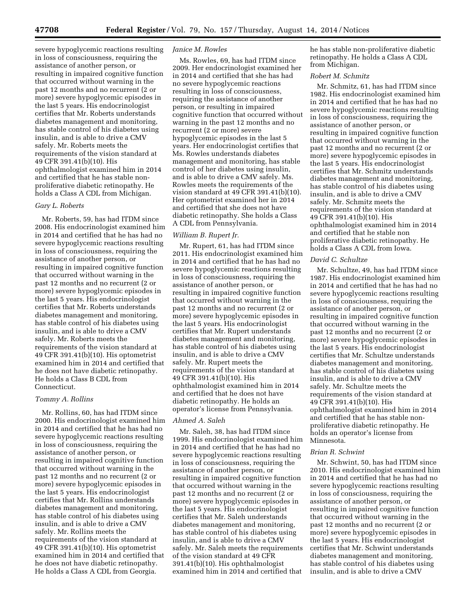severe hypoglycemic reactions resulting in loss of consciousness, requiring the assistance of another person, or resulting in impaired cognitive function that occurred without warning in the past 12 months and no recurrent (2 or more) severe hypoglycemic episodes in the last 5 years. His endocrinologist certifies that Mr. Roberts understands diabetes management and monitoring, has stable control of his diabetes using insulin, and is able to drive a CMV safely. Mr. Roberts meets the requirements of the vision standard at 49 CFR 391.41(b)(10). His ophthalmologist examined him in 2014 and certified that he has stable nonproliferative diabetic retinopathy. He holds a Class A CDL from Michigan.

#### *Gary L. Roberts*

Mr. Roberts, 59, has had ITDM since 2008. His endocrinologist examined him in 2014 and certified that he has had no severe hypoglycemic reactions resulting in loss of consciousness, requiring the assistance of another person, or resulting in impaired cognitive function that occurred without warning in the past 12 months and no recurrent (2 or more) severe hypoglycemic episodes in the last 5 years. His endocrinologist certifies that Mr. Roberts understands diabetes management and monitoring, has stable control of his diabetes using insulin, and is able to drive a CMV safely. Mr. Roberts meets the requirements of the vision standard at 49 CFR 391.41(b)(10). His optometrist examined him in 2014 and certified that he does not have diabetic retinopathy. He holds a Class B CDL from Connecticut.

## *Tommy A. Rollins*

Mr. Rollins, 60, has had ITDM since 2000. His endocrinologist examined him in 2014 and certified that he has had no severe hypoglycemic reactions resulting in loss of consciousness, requiring the assistance of another person, or resulting in impaired cognitive function that occurred without warning in the past 12 months and no recurrent (2 or more) severe hypoglycemic episodes in the last 5 years. His endocrinologist certifies that Mr. Rollins understands diabetes management and monitoring, has stable control of his diabetes using insulin, and is able to drive a CMV safely. Mr. Rollins meets the requirements of the vision standard at 49 CFR 391.41(b)(10). His optometrist examined him in 2014 and certified that he does not have diabetic retinopathy. He holds a Class A CDL from Georgia.

#### *Janice M. Rowles*

Ms. Rowles, 69, has had ITDM since 2009. Her endocrinologist examined her in 2014 and certified that she has had no severe hypoglycemic reactions resulting in loss of consciousness, requiring the assistance of another person, or resulting in impaired cognitive function that occurred without warning in the past 12 months and no recurrent (2 or more) severe hypoglycemic episodes in the last 5 years. Her endocrinologist certifies that Ms. Rowles understands diabetes management and monitoring, has stable control of her diabetes using insulin, and is able to drive a CMV safely. Ms. Rowles meets the requirements of the vision standard at 49 CFR 391.41(b)(10). Her optometrist examined her in 2014 and certified that she does not have diabetic retinopathy. She holds a Class A CDL from Pennsylvania.

#### *William B. Rupert Jr.*

Mr. Rupert, 61, has had ITDM since 2011. His endocrinologist examined him in 2014 and certified that he has had no severe hypoglycemic reactions resulting in loss of consciousness, requiring the assistance of another person, or resulting in impaired cognitive function that occurred without warning in the past 12 months and no recurrent (2 or more) severe hypoglycemic episodes in the last 5 years. His endocrinologist certifies that Mr. Rupert understands diabetes management and monitoring, has stable control of his diabetes using insulin, and is able to drive a CMV safely. Mr. Rupert meets the requirements of the vision standard at 49 CFR 391.41(b)(10). His ophthalmologist examined him in 2014 and certified that he does not have diabetic retinopathy. He holds an operator's license from Pennsylvania.

## *Ahmed A. Saleh*

Mr. Saleh, 38, has had ITDM since 1999. His endocrinologist examined him in 2014 and certified that he has had no severe hypoglycemic reactions resulting in loss of consciousness, requiring the assistance of another person, or resulting in impaired cognitive function that occurred without warning in the past 12 months and no recurrent (2 or more) severe hypoglycemic episodes in the last 5 years. His endocrinologist certifies that Mr. Saleh understands diabetes management and monitoring, has stable control of his diabetes using insulin, and is able to drive a CMV safely. Mr. Saleh meets the requirements of the vision standard at 49 CFR 391.41(b)(10). His ophthalmologist examined him in 2014 and certified that

he has stable non-proliferative diabetic retinopathy. He holds a Class A CDL from Michigan.

# *Robert M. Schmitz*

Mr. Schmitz, 61, has had ITDM since 1982. His endocrinologist examined him in 2014 and certified that he has had no severe hypoglycemic reactions resulting in loss of consciousness, requiring the assistance of another person, or resulting in impaired cognitive function that occurred without warning in the past 12 months and no recurrent (2 or more) severe hypoglycemic episodes in the last 5 years. His endocrinologist certifies that Mr. Schmitz understands diabetes management and monitoring, has stable control of his diabetes using insulin, and is able to drive a CMV safely. Mr. Schmitz meets the requirements of the vision standard at 49 CFR 391.41(b)(10). His ophthalmologist examined him in 2014 and certified that he stable non proliferative diabetic retinopathy. He holds a Class A CDL from Iowa.

#### *David C. Schultze*

Mr. Schultze, 49, has had ITDM since 1987. His endocrinologist examined him in 2014 and certified that he has had no severe hypoglycemic reactions resulting in loss of consciousness, requiring the assistance of another person, or resulting in impaired cognitive function that occurred without warning in the past 12 months and no recurrent (2 or more) severe hypoglycemic episodes in the last 5 years. His endocrinologist certifies that Mr. Schultze understands diabetes management and monitoring, has stable control of his diabetes using insulin, and is able to drive a CMV safely. Mr. Schultze meets the requirements of the vision standard at 49 CFR 391.41(b)(10). His ophthalmologist examined him in 2014 and certified that he has stable nonproliferative diabetic retinopathy. He holds an operator's license from Minnesota.

## *Brian R. Schwint*

Mr. Schwint, 50, has had ITDM since 2010. His endocrinologist examined him in 2014 and certified that he has had no severe hypoglycemic reactions resulting in loss of consciousness, requiring the assistance of another person, or resulting in impaired cognitive function that occurred without warning in the past 12 months and no recurrent (2 or more) severe hypoglycemic episodes in the last 5 years. His endocrinologist certifies that Mr. Schwint understands diabetes management and monitoring, has stable control of his diabetes using insulin, and is able to drive a CMV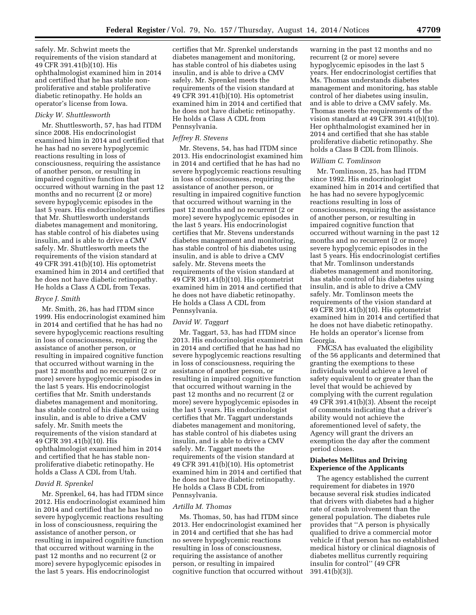safely. Mr. Schwint meets the requirements of the vision standard at 49 CFR 391.41(b)(10). His ophthalmologist examined him in 2014 and certified that he has stable nonproliferative and stable proliferative diabetic retinopathy. He holds an operator's license from Iowa.

#### *Dicky W. Shuttlesworth*

Mr. Shuttlesworth, 57, has had ITDM since 2008. His endocrinologist examined him in 2014 and certified that he has had no severe hypoglycemic reactions resulting in loss of consciousness, requiring the assistance of another person, or resulting in impaired cognitive function that occurred without warning in the past 12 months and no recurrent (2 or more) severe hypoglycemic episodes in the last 5 years. His endocrinologist certifies that Mr. Shuttlesworth understands diabetes management and monitoring, has stable control of his diabetes using insulin, and is able to drive a CMV safely. Mr. Shuttlesworth meets the requirements of the vision standard at 49 CFR 391.41(b)(10). His optometrist examined him in 2014 and certified that he does not have diabetic retinopathy. He holds a Class A CDL from Texas.

#### *Bryce J. Smith*

Mr. Smith, 26, has had ITDM since 1999. His endocrinologist examined him in 2014 and certified that he has had no severe hypoglycemic reactions resulting in loss of consciousness, requiring the assistance of another person, or resulting in impaired cognitive function that occurred without warning in the past 12 months and no recurrent (2 or more) severe hypoglycemic episodes in the last 5 years. His endocrinologist certifies that Mr. Smith understands diabetes management and monitoring, has stable control of his diabetes using insulin, and is able to drive a CMV safely. Mr. Smith meets the requirements of the vision standard at 49 CFR 391.41(b)(10). His ophthalmologist examined him in 2014 and certified that he has stable nonproliferative diabetic retinopathy. He holds a Class A CDL from Utah.

#### *David R. Sprenkel*

Mr. Sprenkel, 64, has had ITDM since 2012. His endocrinologist examined him in 2014 and certified that he has had no severe hypoglycemic reactions resulting in loss of consciousness, requiring the assistance of another person, or resulting in impaired cognitive function that occurred without warning in the past 12 months and no recurrent (2 or more) severe hypoglycemic episodes in the last 5 years. His endocrinologist

certifies that Mr. Sprenkel understands diabetes management and monitoring, has stable control of his diabetes using insulin, and is able to drive a CMV safely. Mr. Sprenkel meets the requirements of the vision standard at 49 CFR 391.41(b)(10). His optometrist examined him in 2014 and certified that he does not have diabetic retinopathy. He holds a Class A CDL from Pennsylvania.

#### *Jeffrey R. Stevens*

Mr. Stevens, 54, has had ITDM since 2013. His endocrinologist examined him in 2014 and certified that he has had no severe hypoglycemic reactions resulting in loss of consciousness, requiring the assistance of another person, or resulting in impaired cognitive function that occurred without warning in the past 12 months and no recurrent (2 or more) severe hypoglycemic episodes in the last 5 years. His endocrinologist certifies that Mr. Stevens understands diabetes management and monitoring, has stable control of his diabetes using insulin, and is able to drive a CMV safely. Mr. Stevens meets the requirements of the vision standard at 49 CFR 391.41(b)(10). His optometrist examined him in 2014 and certified that he does not have diabetic retinopathy. He holds a Class A CDL from Pennsylvania.

#### *David W. Taggart*

Mr. Taggart, 53, has had ITDM since 2013. His endocrinologist examined him in 2014 and certified that he has had no severe hypoglycemic reactions resulting in loss of consciousness, requiring the assistance of another person, or resulting in impaired cognitive function that occurred without warning in the past 12 months and no recurrent (2 or more) severe hypoglycemic episodes in the last 5 years. His endocrinologist certifies that Mr. Taggart understands diabetes management and monitoring, has stable control of his diabetes using insulin, and is able to drive a CMV safely. Mr. Taggart meets the requirements of the vision standard at 49 CFR 391.41(b)(10). His optometrist examined him in 2014 and certified that he does not have diabetic retinopathy. He holds a Class B CDL from Pennsylvania.

#### *Artilla M. Thomas*

Ms. Thomas, 50, has had ITDM since 2013. Her endocrinologist examined her in 2014 and certified that she has had no severe hypoglycemic reactions resulting in loss of consciousness, requiring the assistance of another person, or resulting in impaired cognitive function that occurred without

warning in the past 12 months and no recurrent (2 or more) severe hypoglycemic episodes in the last 5 years. Her endocrinologist certifies that Ms. Thomas understands diabetes management and monitoring, has stable control of her diabetes using insulin, and is able to drive a CMV safely. Ms. Thomas meets the requirements of the vision standard at 49 CFR 391.41(b)(10). Her ophthalmologist examined her in 2014 and certified that she has stable proliferative diabetic retinopathy. She holds a Class B CDL from Illinois.

#### *William C. Tomlinson*

Mr. Tomlinson, 25, has had ITDM since 1992. His endocrinologist examined him in 2014 and certified that he has had no severe hypoglycemic reactions resulting in loss of consciousness, requiring the assistance of another person, or resulting in impaired cognitive function that occurred without warning in the past 12 months and no recurrent (2 or more) severe hypoglycemic episodes in the last 5 years. His endocrinologist certifies that Mr. Tomlinson understands diabetes management and monitoring, has stable control of his diabetes using insulin, and is able to drive a CMV safely. Mr. Tomlinson meets the requirements of the vision standard at 49 CFR 391.41(b)(10). His optometrist examined him in 2014 and certified that he does not have diabetic retinopathy. He holds an operator's license from Georgia.

FMCSA has evaluated the eligibility of the 56 applicants and determined that granting the exemptions to these individuals would achieve a level of safety equivalent to or greater than the level that would be achieved by complying with the current regulation 49 CFR 391.41(b)(3). Absent the receipt of comments indicating that a driver's ability would not achieve the aforementioned level of safety, the Agency will grant the drivers an exemption the day after the comment period closes.

# **Diabetes Mellitus and Driving Experience of the Applicants**

The agency established the current requirement for diabetes in 1970 because several risk studies indicated that drivers with diabetes had a higher rate of crash involvement than the general population. The diabetes rule provides that ''A person is physically qualified to drive a commercial motor vehicle if that person has no established medical history or clinical diagnosis of diabetes mellitus currently requiring insulin for control'' (49 CFR 391.41(b)(3)).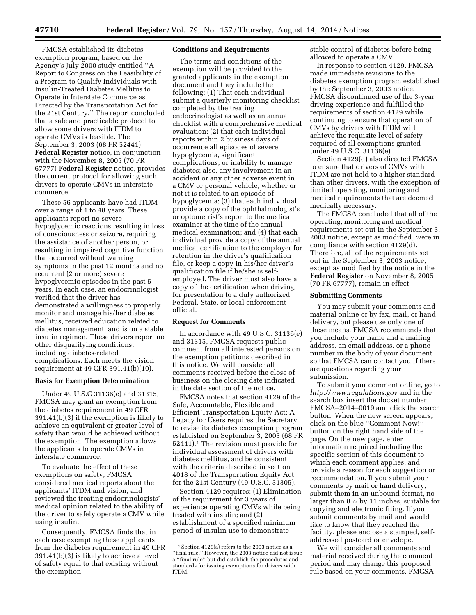FMCSA established its diabetes exemption program, based on the Agency's July 2000 study entitled ''A Report to Congress on the Feasibility of a Program to Qualify Individuals with Insulin-Treated Diabetes Mellitus to Operate in Interstate Commerce as Directed by the Transportation Act for the 21st Century.'' The report concluded that a safe and practicable protocol to allow some drivers with ITDM to operate CMVs is feasible. The September 3, 2003 (68 FR 52441) **Federal Register** notice, in conjunction with the November 8, 2005 (70 FR 67777) **Federal Register** notice, provides the current protocol for allowing such drivers to operate CMVs in interstate commerce.

These 56 applicants have had ITDM over a range of 1 to 48 years. These applicants report no severe hypoglycemic reactions resulting in loss of consciousness or seizure, requiring the assistance of another person, or resulting in impaired cognitive function that occurred without warning symptoms in the past 12 months and no recurrent (2 or more) severe hypoglycemic episodes in the past 5 years. In each case, an endocrinologist verified that the driver has demonstrated a willingness to properly monitor and manage his/her diabetes mellitus, received education related to diabetes management, and is on a stable insulin regimen. These drivers report no other disqualifying conditions, including diabetes-related complications. Each meets the vision requirement at 49 CFR 391.41(b)(10).

#### **Basis for Exemption Determination**

Under 49 U.S.C 31136(e) and 31315, FMCSA may grant an exemption from the diabetes requirement in 49 CFR 391.41(b)(3) if the exemption is likely to achieve an equivalent or greater level of safety than would be achieved without the exemption. The exemption allows the applicants to operate CMVs in interstate commerce.

To evaluate the effect of these exemptions on safety, FMCSA considered medical reports about the applicants' ITDM and vision, and reviewed the treating endocrinologists' medical opinion related to the ability of the driver to safely operate a CMV while using insulin.

Consequently, FMCSA finds that in each case exempting these applicants from the diabetes requirement in 49 CFR 391.41(b)(3) is likely to achieve a level of safety equal to that existing without the exemption.

## **Conditions and Requirements**

The terms and conditions of the exemption will be provided to the granted applicants in the exemption document and they include the following: (1) That each individual submit a quarterly monitoring checklist completed by the treating endocrinologist as well as an annual checklist with a comprehensive medical evaluation; (2) that each individual reports within 2 business days of occurrence all episodes of severe hypoglycemia, significant complications, or inability to manage diabetes; also, any involvement in an accident or any other adverse event in a CMV or personal vehicle, whether or not it is related to an episode of hypoglycemia; (3) that each individual provide a copy of the ophthalmologist's or optometrist's report to the medical examiner at the time of the annual medical examination; and (4) that each individual provide a copy of the annual medical certification to the employer for retention in the driver's qualification file, or keep a copy in his/her driver's qualification file if he/she is selfemployed. The driver must also have a copy of the certification when driving, for presentation to a duly authorized Federal, State, or local enforcement official.

#### **Request for Comments**

In accordance with 49 U.S.C. 31136(e) and 31315, FMCSA requests public comment from all interested persons on the exemption petitions described in this notice. We will consider all comments received before the close of business on the closing date indicated in the date section of the notice.

FMCSA notes that section 4129 of the Safe, Accountable, Flexible and Efficient Transportation Equity Act: A Legacy for Users requires the Secretary to revise its diabetes exemption program established on September 3, 2003 (68 FR 52441).1 The revision must provide for individual assessment of drivers with diabetes mellitus, and be consistent with the criteria described in section 4018 of the Transportation Equity Act for the 21st Century (49 U.S.C. 31305).

Section 4129 requires: (1) Elimination of the requirement for 3 years of experience operating CMVs while being treated with insulin; and (2) establishment of a specified minimum period of insulin use to demonstrate

stable control of diabetes before being allowed to operate a CMV.

In response to section 4129, FMCSA made immediate revisions to the diabetes exemption program established by the September 3, 2003 notice. FMCSA discontinued use of the 3-year driving experience and fulfilled the requirements of section 4129 while continuing to ensure that operation of CMVs by drivers with ITDM will achieve the requisite level of safety required of all exemptions granted under 49 U.S.C. 31136(e).

Section 4129(d) also directed FMCSA to ensure that drivers of CMVs with ITDM are not held to a higher standard than other drivers, with the exception of limited operating, monitoring and medical requirements that are deemed medically necessary.

The FMCSA concluded that all of the operating, monitoring and medical requirements set out in the September 3, 2003 notice, except as modified, were in compliance with section 4129(d). Therefore, all of the requirements set out in the September 3, 2003 notice, except as modified by the notice in the **Federal Register** on November 8, 2005 (70 FR 67777), remain in effect.

#### **Submitting Comments**

You may submit your comments and material online or by fax, mail, or hand delivery, but please use only one of these means. FMCSA recommends that you include your name and a mailing address, an email address, or a phone number in the body of your document so that FMCSA can contact you if there are questions regarding your submission.

To submit your comment online, go to *<http://www.regulations.gov>* and in the search box insert the docket number FMCSA–2014–0019 and click the search button. When the new screen appears, click on the blue ''Comment Now!'' button on the right hand side of the page. On the new page, enter information required including the specific section of this document to which each comment applies, and provide a reason for each suggestion or recommendation. If you submit your comments by mail or hand delivery, submit them in an unbound format, no larger than 81⁄2 by 11 inches, suitable for copying and electronic filing. If you submit comments by mail and would like to know that they reached the facility, please enclose a stamped, selfaddressed postcard or envelope.

We will consider all comments and material received during the comment period and may change this proposed rule based on your comments. FMCSA

<sup>1</sup>Section 4129(a) refers to the 2003 notice as a ''final rule.'' However, the 2003 notice did not issue a ''final rule'' but did establish the procedures and standards for issuing exemptions for drivers with ITDM.